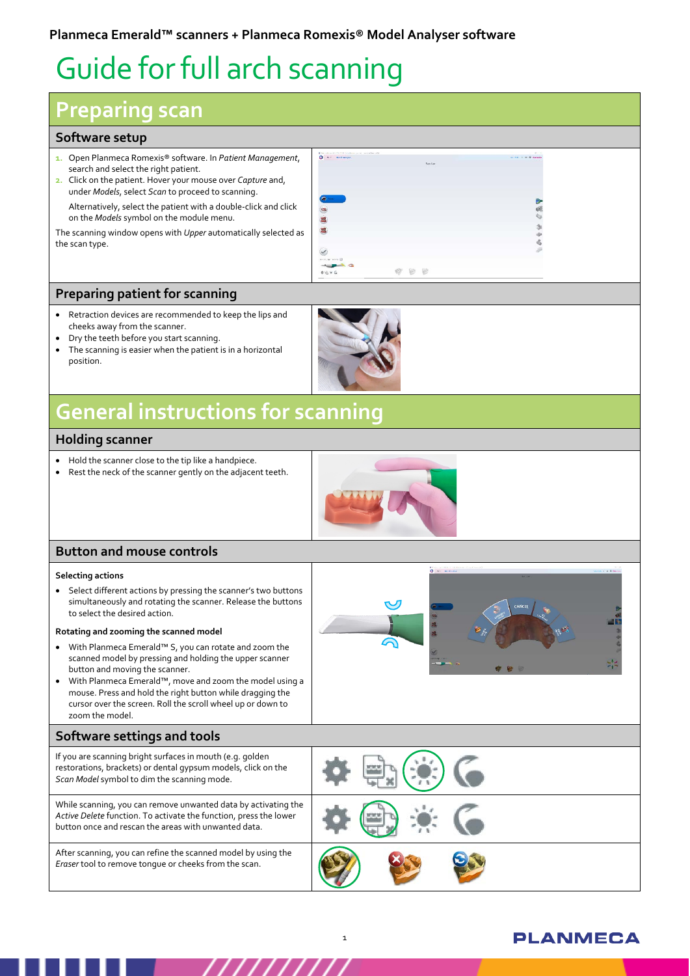# Guide for full arch scanning

# **Preparing scan**

| Software setup                                                                                                                                                                                                                     |                                                                                                                      |  |
|------------------------------------------------------------------------------------------------------------------------------------------------------------------------------------------------------------------------------------|----------------------------------------------------------------------------------------------------------------------|--|
| 1. Open Planmeca Romexis <sup>®</sup> software. In Patient Management,<br>search and select the right patient.<br>2. Click on the patient. Hover your mouse over Capture and,<br>under Models, select Scan to proceed to scanning. | O has a chosen to the third challenge to the Constitution of the<br>$\alpha$<br>Now Hotel Angeles<br><b>Starting</b> |  |
| Alternatively, select the patient with a double-click and click<br>on the Models symbol on the module menu.                                                                                                                        | œ<br>$\bullet$<br>8                                                                                                  |  |
| The scanning window opens with Upper automatically selected as<br>the scan type.                                                                                                                                                   | $\checkmark$<br>Arrowing Mille R                                                                                     |  |
|                                                                                                                                                                                                                                    | e<br>春动 金(                                                                                                           |  |

#### **Preparing patient for scanning**

- Retraction devices are recommended to keep the lips and cheeks away from the scanner.
- Dry the teeth before you start scanning.
- The scanning is easier when the patient is in a horizontal position.



# **General instructions for scanning**

#### **Holding scanner**

- Hold the scanner close to the tip like a handpiece.
- Rest the neck of the scanner gently on the adjacent teeth.



#### **Button and mouse controls**

#### **Selecting actions**

• Select different actions by pressing the scanner's two buttons simultaneously and rotating the scanner. Release the buttons to select the desired action.

#### **Rotating and zooming the scanned model**

- With Planmeca Emerald™ S, you can rotate and zoom the scanned model by pressing and holding the upper scanner button and moving the scanner.
- With Planmeca Emerald™, move and zoom the model using a mouse. Press and hold the right button while dragging the cursor over the screen. Roll the scroll wheel up or down to zoom the model.

#### **Software settings and tools**

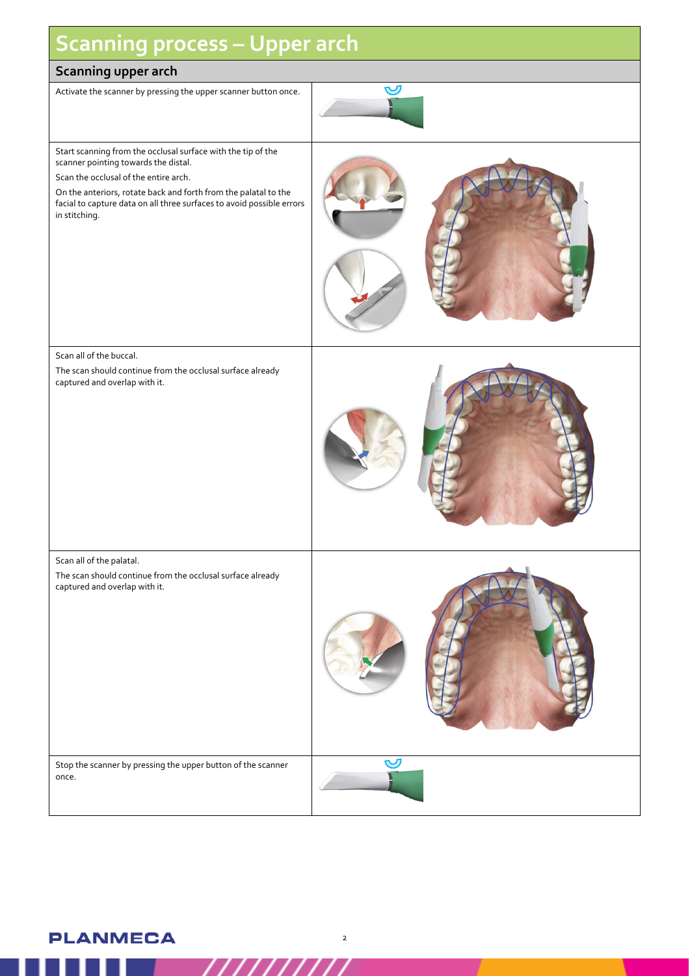# **Scanning process – Upper arch**

# **Scanning upper arch**

| Scanning upper arch                                                                                                                                                                                                                                                                                        |  |
|------------------------------------------------------------------------------------------------------------------------------------------------------------------------------------------------------------------------------------------------------------------------------------------------------------|--|
| Activate the scanner by pressing the upper scanner button once.                                                                                                                                                                                                                                            |  |
| Start scanning from the occlusal surface with the tip of the<br>scanner pointing towards the distal.<br>Scan the occlusal of the entire arch.<br>On the anteriors, rotate back and forth from the palatal to the<br>facial to capture data on all three surfaces to avoid possible errors<br>in stitching. |  |
| Scan all of the buccal.<br>The scan should continue from the occlusal surface already<br>captured and overlap with it.                                                                                                                                                                                     |  |
| Scan all of the palatal.<br>The scan should continue from the occlusal surface already<br>captured and overlap with it.                                                                                                                                                                                    |  |
| Stop the scanner by pressing the upper button of the scanner<br>once.                                                                                                                                                                                                                                      |  |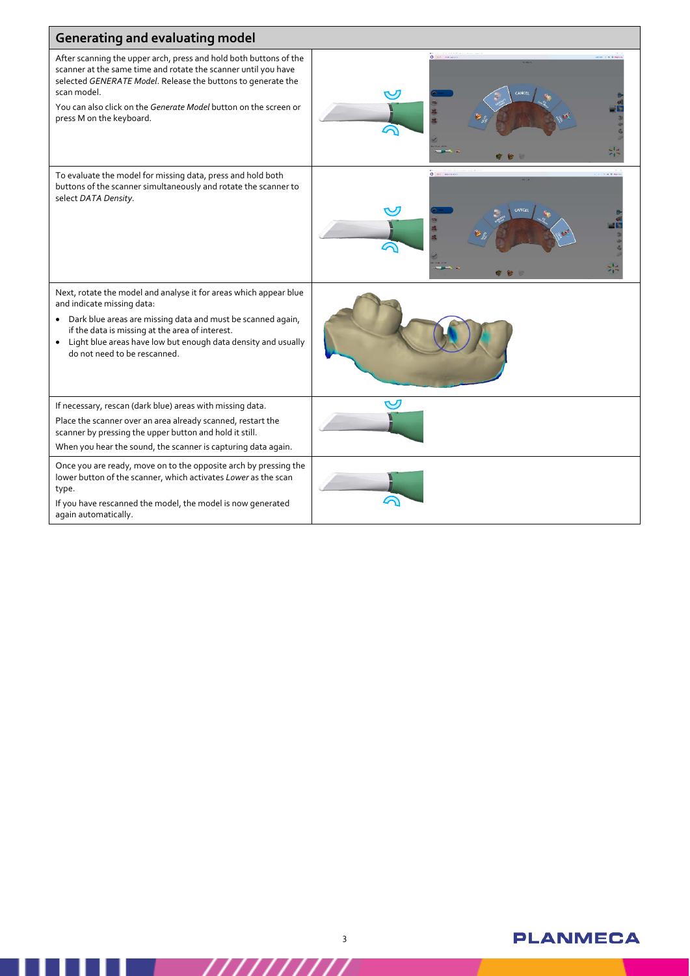| <b>Generating and evaluating model</b>                                                                                                                                                                                                                                                                                                       |                            |
|----------------------------------------------------------------------------------------------------------------------------------------------------------------------------------------------------------------------------------------------------------------------------------------------------------------------------------------------|----------------------------|
| After scanning the upper arch, press and hold both buttons of the<br>scanner at the same time and rotate the scanner until you have<br>selected GENERATE Model. Release the buttons to generate the<br>scan model.<br>You can also click on the Generate Model button on the screen or<br>press M on the keyboard.                           | $\overline{0}$ . The local |
| To evaluate the model for missing data, press and hold both<br>buttons of the scanner simultaneously and rotate the scanner to<br>select DATA Density.                                                                                                                                                                                       | 0.51                       |
| Next, rotate the model and analyse it for areas which appear blue<br>and indicate missing data:<br>Dark blue areas are missing data and must be scanned again,<br>$\bullet$<br>if the data is missing at the area of interest.<br>Light blue areas have low but enough data density and usually<br>$\bullet$<br>do not need to be rescanned. |                            |
| If necessary, rescan (dark blue) areas with missing data.<br>Place the scanner over an area already scanned, restart the<br>scanner by pressing the upper button and hold it still.<br>When you hear the sound, the scanner is capturing data again.                                                                                         |                            |
| Once you are ready, move on to the opposite arch by pressing the<br>lower button of the scanner, which activates Lower as the scan<br>type.<br>If you have rescanned the model, the model is now generated<br>again automatically.                                                                                                           |                            |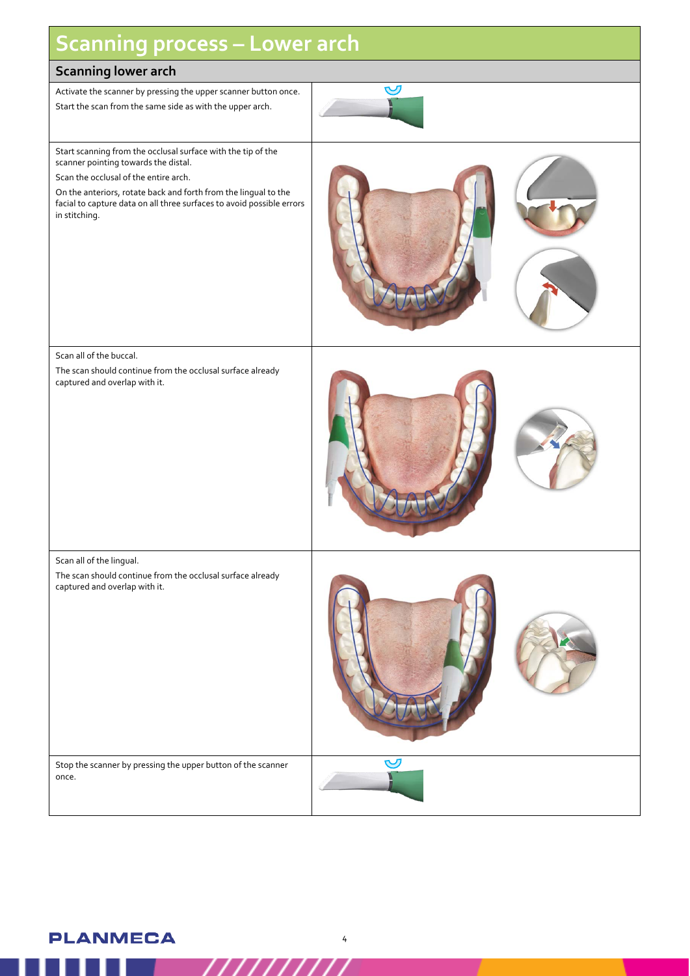# **Scanning process – Lower arch**

### **Scanning lower arch**

Activate the scanner by pressing the upper scanner button once. Start the scan from the same side as with the upper arch.

Start scanning from the occlusal surface with the tip of the scanner pointing towards the distal.

Scan the occlusal of the entire arch.

On the anteriors, rotate back and forth from the lingual to the facial to capture data on all three surfaces to avoid possible errors in stitching.





The scan should continue from the occlusal surface already captured and overlap with it.





Scan all of the lingual.

The scan should continue from the occlusal surface already captured and overlap with it.

Stop the scanner by pressing the upper button of the scanner once.



4

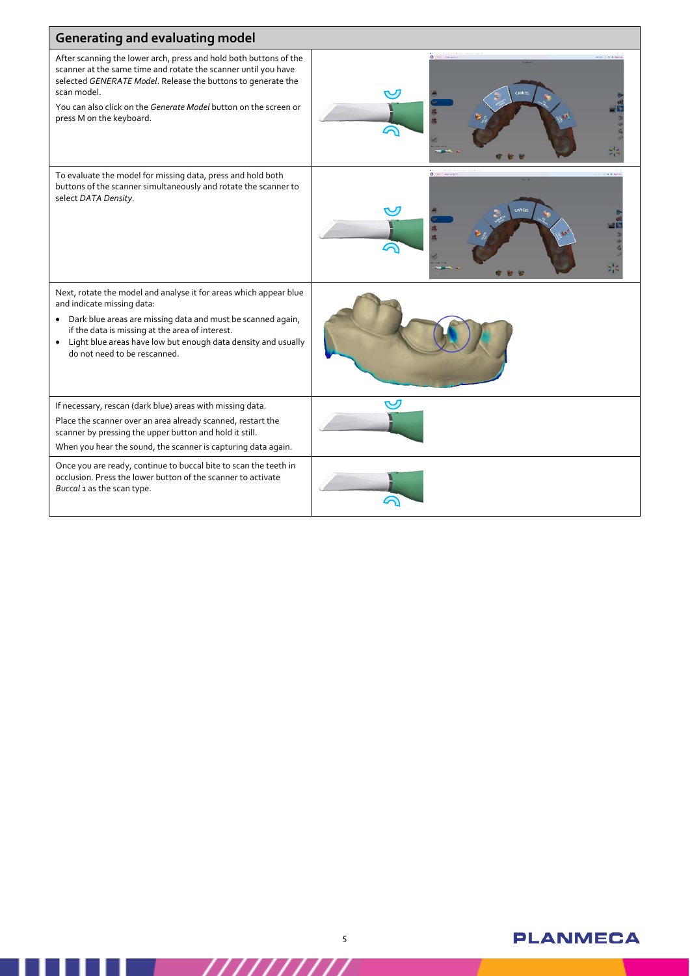| <b>Generating and evaluating model</b>                                                                                                                                                                                                                                                                                 |                                  |  |  |
|------------------------------------------------------------------------------------------------------------------------------------------------------------------------------------------------------------------------------------------------------------------------------------------------------------------------|----------------------------------|--|--|
| After scanning the lower arch, press and hold both buttons of the<br>scanner at the same time and rotate the scanner until you have<br>selected GENERATE Model. Release the buttons to generate the<br>scan model.<br>You can also click on the Generate Model button on the screen or<br>press M on the keyboard.     | $\overline{0}$ subset<br>$    -$ |  |  |
| To evaluate the model for missing data, press and hold both<br>buttons of the scanner simultaneously and rotate the scanner to<br>select DATA Density.                                                                                                                                                                 | $0.51$ and $0.5$                 |  |  |
| Next, rotate the model and analyse it for areas which appear blue<br>and indicate missing data:<br>• Dark blue areas are missing data and must be scanned again,<br>if the data is missing at the area of interest.<br>• Light blue areas have low but enough data density and usually<br>do not need to be rescanned. |                                  |  |  |
| If necessary, rescan (dark blue) areas with missing data.<br>Place the scanner over an area already scanned, restart the<br>scanner by pressing the upper button and hold it still.<br>When you hear the sound, the scanner is capturing data again.                                                                   |                                  |  |  |
| Once you are ready, continue to buccal bite to scan the teeth in<br>occlusion. Press the lower button of the scanner to activate<br>Buccal 1 as the scan type.                                                                                                                                                         |                                  |  |  |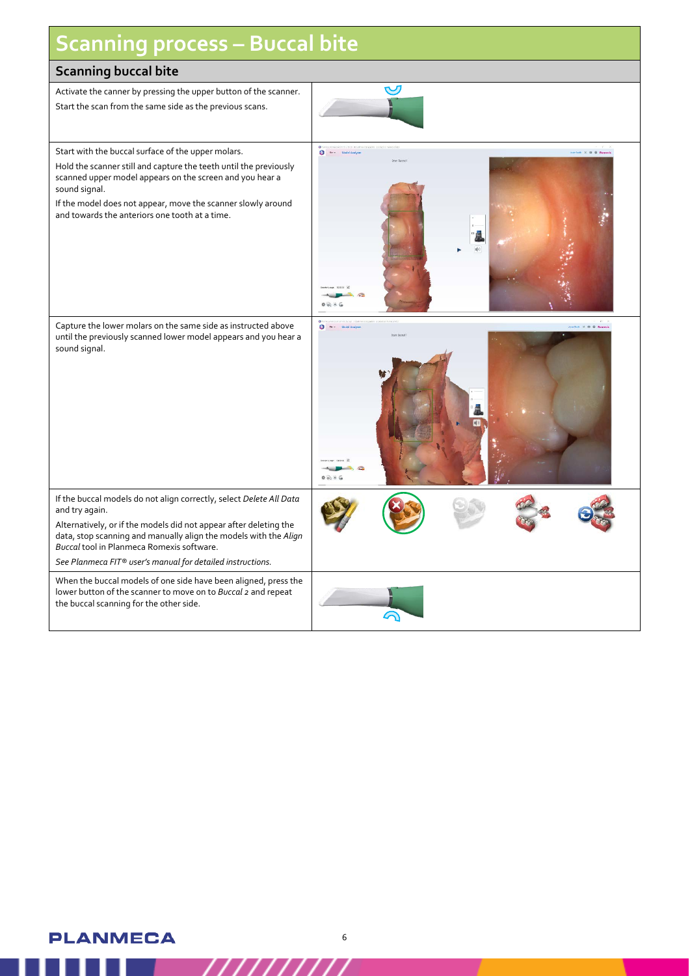# **Scanning process – Buccal bite**

#### **Scanning buccal bite**

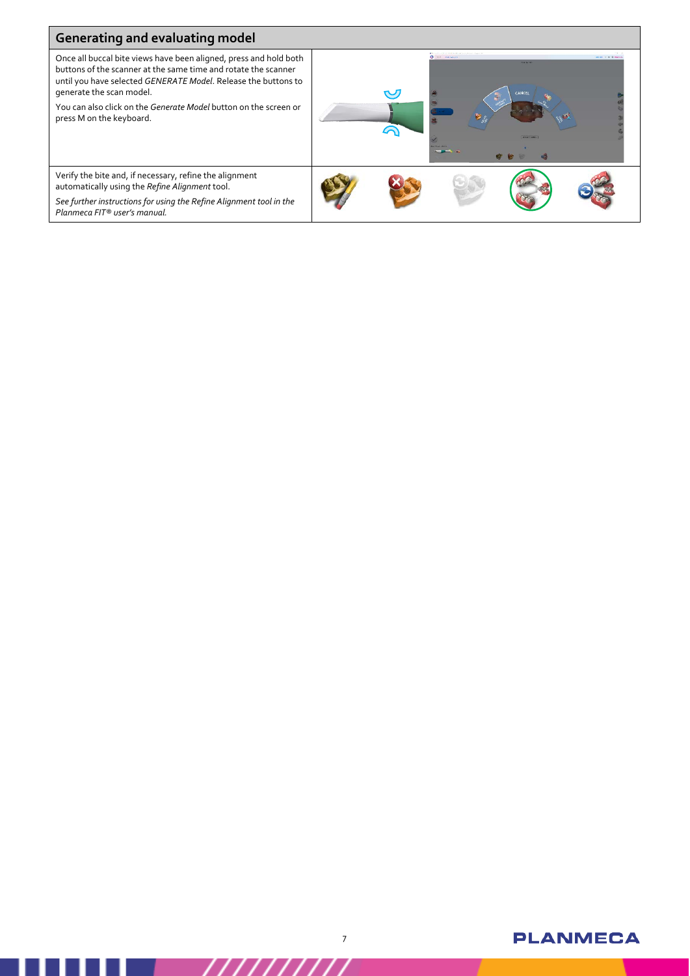| <b>Generating and evaluating model</b>                                                                                                                                                                                                                                                                                            |  |  |  |                              |  |
|-----------------------------------------------------------------------------------------------------------------------------------------------------------------------------------------------------------------------------------------------------------------------------------------------------------------------------------|--|--|--|------------------------------|--|
| Once all buccal bite views have been aligned, press and hold both<br>buttons of the scanner at the same time and rotate the scanner<br>until you have selected GENERATE Model. Release the buttons to<br>generate the scan model.<br>You can also click on the Generate Model button on the screen or<br>press M on the keyboard. |  |  |  | <b>Carl Avenue</b><br>CANCEL |  |
| Verify the bite and, if necessary, refine the alignment<br>automatically using the Refine Alignment tool.                                                                                                                                                                                                                         |  |  |  |                              |  |
| See further instructions for using the Refine Alignment tool in the<br>Planmeca FIT® user's manual.                                                                                                                                                                                                                               |  |  |  |                              |  |

7

77